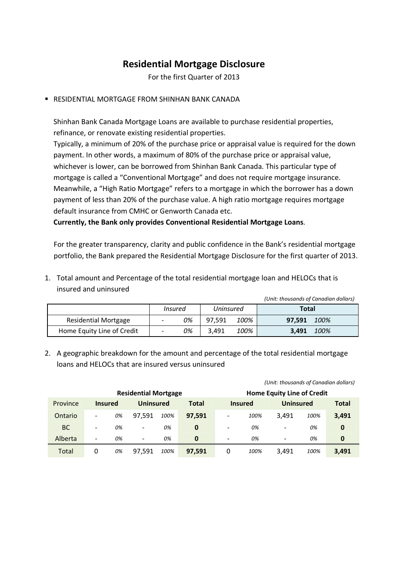## **Residential Mortgage Disclosure**

For the first Quarter of 2013

RESIDENTIAL MORTGAGE FROM SHINHAN BANK CANADA

Shinhan Bank Canada Mortgage Loans are available to purchase residential properties, refinance, or renovate existing residential properties.

Typically, a minimum of 20% of the purchase price or appraisal value is required for the down payment. In other words, a maximum of 80% of the purchase price or appraisal value, whichever is lower, can be borrowed from Shinhan Bank Canada. This particular type of mortgage is called a "Conventional Mortgage" and does not require mortgage insurance. Meanwhile, a "High Ratio Mortgage" refers to a mortgage in which the borrower has a down payment of less than 20% of the purchase value. A high ratio mortgage requires mortgage default insurance from CMHC or Genworth Canada etc.

**Currently, the Bank only provides Conventional Residential Mortgage Loans**.

For the greater transparency, clarity and public confidence in the Bank's residential mortgage portfolio, the Bank prepared the Residential Mortgage Disclosure for the first quarter of 2013.

1. Total amount and Percentage of the total residential mortgage loan and HELOCs that is insured and uninsured

|                            |                          |    |           |      | (Unit: thousands of Canadian dollars) |      |
|----------------------------|--------------------------|----|-----------|------|---------------------------------------|------|
|                            | Insured                  |    | Uninsured |      | Total                                 |      |
| Residential Mortgage       | $\overline{\phantom{0}}$ | 0% | 97.591    | 100% | 97,591                                | 100% |
| Home Equity Line of Credit | $\overline{\phantom{a}}$ | 0% | 3.491     | 100% | 3.491                                 | 100% |

2. A geographic breakdown for the amount and percentage of the total residential mortgage loans and HELOCs that are insured versus uninsured

|                             |                          |    |                                   |      |              |   | (Unit: thousands of Canadian dollars) |                          |      |          |
|-----------------------------|--------------------------|----|-----------------------------------|------|--------------|---|---------------------------------------|--------------------------|------|----------|
| <b>Residential Mortgage</b> |                          |    | <b>Home Equity Line of Credit</b> |      |              |   |                                       |                          |      |          |
| Province                    | <b>Insured</b>           |    | <b>Uninsured</b>                  |      | <b>Total</b> |   | <b>Insured</b>                        | <b>Uninsured</b>         |      | Total    |
| Ontario                     |                          | 0% | 97.591                            | 100% | 97,591       | ۰ | 100%                                  | 3.491                    | 100% | 3,491    |
| <b>BC</b>                   | $\overline{\phantom{0}}$ | 0% | $\overline{\phantom{a}}$          | 0%   | $\bf{0}$     | - | 0%                                    | $\overline{\phantom{a}}$ | 0%   | $\bf{0}$ |
| Alberta                     | -                        | 0% | $\overline{\phantom{a}}$          | 0%   | $\mathbf 0$  | - | 0%                                    | $\overline{\phantom{0}}$ | 0%   | $\bf{0}$ |
| Total                       | 0                        | 0% | 97.591                            | 100% | 97,591       | 0 | 100%                                  | 3.491                    | 100% | 3,491    |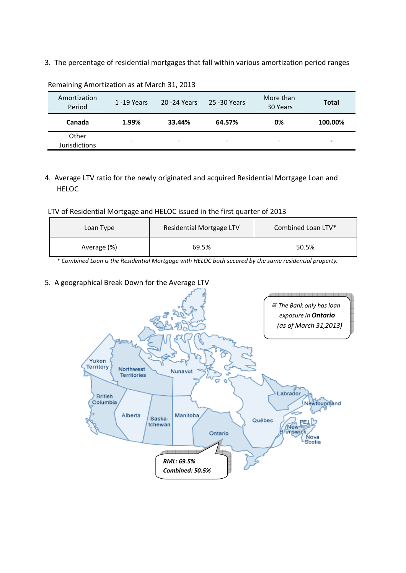3. The percentage of residential mortgages that fall within various amortization period ranges

| Amortization<br>Period        | $1 - 19$ Years           | 20 - 24 Years | 25 - 30 Years            | More than<br>30 Years | <b>Total</b> |
|-------------------------------|--------------------------|---------------|--------------------------|-----------------------|--------------|
| Canada                        | 1.99%                    | 33.44%        | 64.57%                   | 0%                    | 100.00%      |
| Other<br><b>Jurisdictions</b> | $\overline{\phantom{a}}$ | -             | $\overline{\phantom{a}}$ | -                     | -            |

Remaining Amortization as at March 31, 2013

4. Average LTV ratio for the newly originated and acquired Residential Mortgage Loan and **HELOC** 

LTV of Residential Mortgage and HELOC issued in the first quarter of 2013

| Loan Type   | Residential Mortgage LTV | Combined Loan LTV* |
|-------------|--------------------------|--------------------|
| Average (%) | 69.5%                    | 50.5%              |

*\* Combined Loan is the Residential Mortgage with HELOC both secured by the same residential property.* 

## 5. A geographical Break Down for the Average LTV